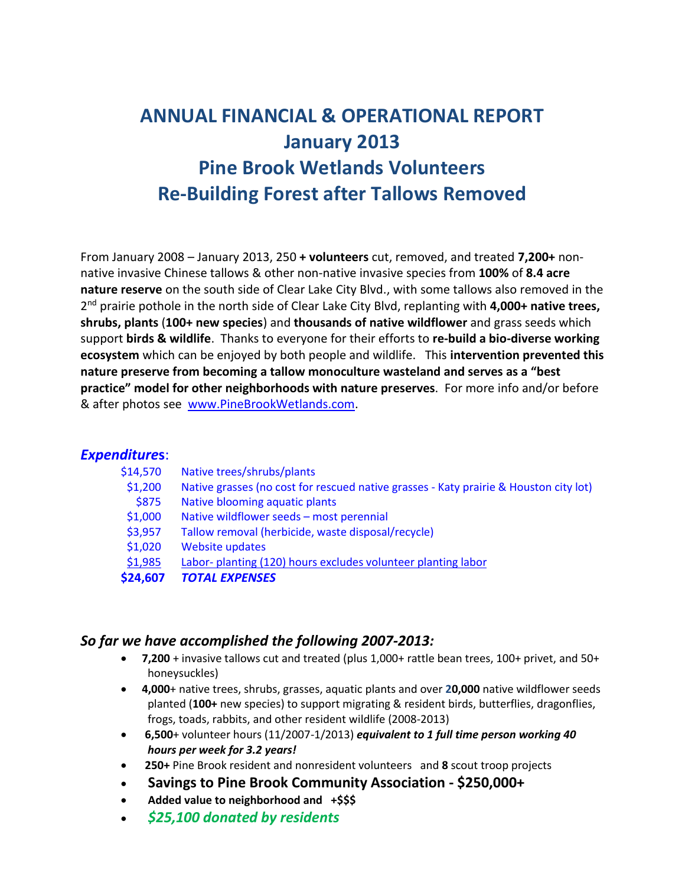# **ANNUAL FINANCIAL & OPERATIONAL REPORT January 2013 Pine Brook Wetlands Volunteers Re-Building Forest after Tallows Removed**

From January 2008 – January 2013, 250 **+ volunteers** cut, removed, and treated **7,200+** nonnative invasive Chinese tallows & other non-native invasive species from **100%** of **8.4 acre nature reserve** on the south side of Clear Lake City Blvd., with some tallows also removed in the 2 nd prairie pothole in the north side of Clear Lake City Blvd, replanting with **4,000+ native trees, shrubs, plants** (**100+ new species**) and **thousands of native wildflower** and grass seeds which support **birds & wildlife**. Thanks to everyone for their efforts to **re-build a bio-diverse working ecosystem** which can be enjoyed by both people and wildlife. This **intervention prevented this nature preserve from becoming a tallow monoculture wasteland and serves as a "best practice" model for other neighborhoods with nature preserves**. For more info and/or before & after photos see [www.PineBrookWetlands.com.](http://www.pinebrookwetlands.com/)

#### *Expenditure***s**:

| \$14,570 | Native trees/shrubs/plants                                                            |
|----------|---------------------------------------------------------------------------------------|
| \$1,200  | Native grasses (no cost for rescued native grasses - Katy prairie & Houston city lot) |
| \$875    | Native blooming aquatic plants                                                        |
| \$1,000  | Native wildflower seeds - most perennial                                              |
| \$3,957  | Tallow removal (herbicide, waste disposal/recycle)                                    |
| \$1,020  | <b>Website updates</b>                                                                |
| \$1,985  | Labor- planting (120) hours excludes volunteer planting labor                         |
| \$24,607 | <b>TOTAL EXPENSES</b>                                                                 |

#### *So far we have accomplished the following 2007-2013:*

- **7,200** + invasive tallows cut and treated (plus 1,000+ rattle bean trees, 100+ privet, and 50+ honeysuckles)
- **4,000**+ native trees, shrubs, grasses, aquatic plants and over **20,000** native wildflower seeds planted (**100+** new species) to support migrating & resident birds, butterflies, dragonflies, frogs, toads, rabbits, and other resident wildlife (2008-2013)
- **6,500**+ volunteer hours (11/2007-1/2013) *equivalent to 1 full time person working 40 hours per week for 3.2 years!*
- **250+** Pine Brook resident and nonresident volunteers and **8** scout troop projects
- **Savings to Pine Brook Community Association - \$250,000+**
- **Added value to neighborhood and +\$\$\$**
- *\$25,100 donated by residents*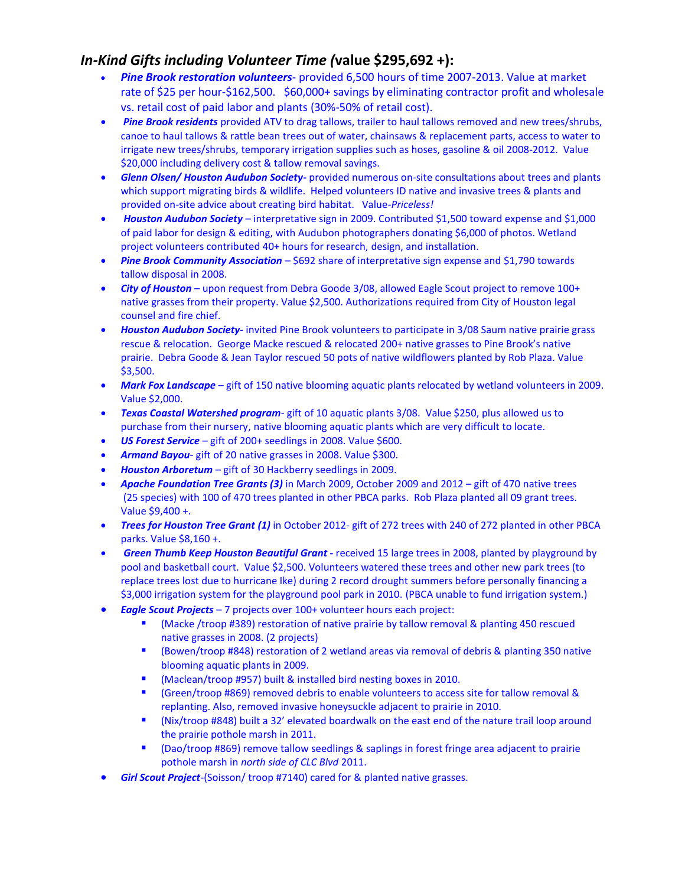## *In-Kind Gifts including Volunteer Time (***value \$295,692 +):**

- *Pine Brook restoration volunteers* provided 6,500 hours of time 2007-2013. Value at market rate of \$25 per hour-\$162,500. \$60,000+ savings by eliminating contractor profit and wholesale vs. retail cost of paid labor and plants (30%-50% of retail cost).
- *Pine Brook residents* provided ATV to drag tallows, trailer to haul tallows removed and new trees/shrubs, canoe to haul tallows & rattle bean trees out of water, chainsaws & replacement parts, access to water to irrigate new trees/shrubs, temporary irrigation supplies such as hoses, gasoline & oil 2008-2012. Value \$20,000 including delivery cost & tallow removal savings.
- *Glenn Olsen/ Houston Audubon Society-* provided numerous on-site consultations about trees and plants which support migrating birds & wildlife. Helped volunteers ID native and invasive trees & plants and provided on-site advice about creating bird habitat. Value-*Priceless!*
- *Houston Audubon Society* interpretative sign in 2009. Contributed \$1,500 toward expense and \$1,000 of paid labor for design & editing, with Audubon photographers donating \$6,000 of photos. Wetland project volunteers contributed 40+ hours for research, design, and installation.
- Pine Brook Community Association \$692 share of interpretative sign expense and \$1,790 towards tallow disposal in 2008.
- *City of Houston* upon request from Debra Goode 3/08, allowed Eagle Scout project to remove 100+ native grasses from their property. Value \$2,500. Authorizations required from City of Houston legal counsel and fire chief.
- *Houston Audubon Society* invited Pine Brook volunteers to participate in 3/08 Saum native prairie grass rescue & relocation. George Macke rescued & relocated 200+ native grasses to Pine Brook's native prairie. Debra Goode & Jean Taylor rescued 50 pots of native wildflowers planted by Rob Plaza. Value \$3,500.
- *Mark Fox Landscape* gift of 150 native blooming aquatic plants relocated by wetland volunteers in 2009. Value \$2,000.
- *Texas Coastal Watershed program* gift of 10 aquatic plants 3/08. Value \$250, plus allowed us to purchase from their nursery, native blooming aquatic plants which are very difficult to locate.
- *US Forest Service* gift of 200+ seedlings in 2008. Value \$600.
- *Armand Bayou* gift of 20 native grasses in 2008. Value \$300.
- *Houston Arboretum* gift of 30 Hackberry seedlings in 2009.
- *Apache Foundation Tree Grants (3)* in March 2009, October 2009 and 2012 *–* gift of 470 native trees (25 species) with 100 of 470 trees planted in other PBCA parks. Rob Plaza planted all 09 grant trees. Value \$9,400 +.
- *Trees for Houston Tree Grant (1)* in October 2012- gift of 272 trees with 240 of 272 planted in other PBCA parks. Value \$8,160 +.
- *Green Thumb Keep Houston Beautiful Grant* **-** received 15 large trees in 2008, planted by playground by pool and basketball court. Value \$2,500. Volunteers watered these trees and other new park trees (to replace trees lost due to hurricane Ike) during 2 record drought summers before personally financing a \$3,000 irrigation system for the playground pool park in 2010. (PBCA unable to fund irrigation system.)
- *Eagle Scout Projects* 7 projects over 100+ volunteer hours each project:
	- (Macke /troop #389) restoration of native prairie by tallow removal & planting 450 rescued native grasses in 2008. (2 projects)
	- (Bowen/troop #848) restoration of 2 wetland areas via removal of debris & planting 350 native blooming aquatic plants in 2009.
	- (Maclean/troop #957) built & installed bird nesting boxes in 2010.
	- (Green/troop #869) removed debris to enable volunteers to access site for tallow removal & replanting. Also, removed invasive honeysuckle adjacent to prairie in 2010.
	- (Nix/troop #848) built a 32' elevated boardwalk on the east end of the nature trail loop around the prairie pothole marsh in 2011.
	- (Dao/troop #869) remove tallow seedlings & saplings in forest fringe area adjacent to prairie pothole marsh in *north side of CLC Blvd* 2011.
- *Girl Scout Project*-(Soisson/ troop #7140) cared for & planted native grasses.